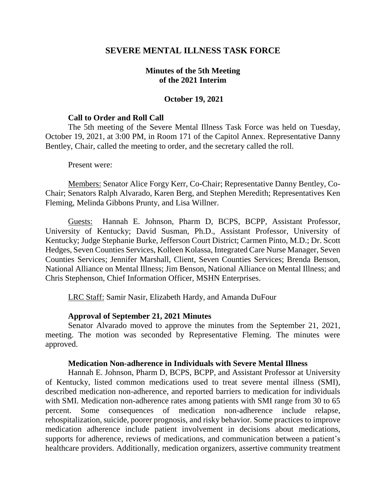### **SEVERE MENTAL ILLNESS TASK FORCE**

### **Minutes of the 5th Meeting of the 2021 Interim**

#### **October 19, 2021**

#### **Call to Order and Roll Call**

The 5th meeting of the Severe Mental Illness Task Force was held on Tuesday, October 19, 2021, at 3:00 PM, in Room 171 of the Capitol Annex. Representative Danny Bentley, Chair, called the meeting to order, and the secretary called the roll.

#### Present were:

Members: Senator Alice Forgy Kerr, Co-Chair; Representative Danny Bentley, Co-Chair; Senators Ralph Alvarado, Karen Berg, and Stephen Meredith; Representatives Ken Fleming, Melinda Gibbons Prunty, and Lisa Willner.

Guests: Hannah E. Johnson, Pharm D, BCPS, BCPP, Assistant Professor, University of Kentucky; David Susman, Ph.D., Assistant Professor, University of Kentucky; Judge Stephanie Burke, Jefferson Court District; Carmen Pinto, M.D.; Dr. Scott Hedges, Seven Counties Services, Kolleen Kolassa, Integrated Care Nurse Manager, Seven Counties Services; Jennifer Marshall, Client, Seven Counties Services; Brenda Benson, National Alliance on Mental Illness; Jim Benson, National Alliance on Mental Illness; and Chris Stephenson, Chief Information Officer, MSHN Enterprises.

LRC Staff: Samir Nasir, Elizabeth Hardy, and Amanda DuFour

### **Approval of September 21, 2021 Minutes**

Senator Alvarado moved to approve the minutes from the September 21, 2021, meeting. The motion was seconded by Representative Fleming. The minutes were approved.

#### **Medication Non-adherence in Individuals with Severe Mental Illness**

Hannah E. Johnson, Pharm D, BCPS, BCPP, and Assistant Professor at University of Kentucky, listed common medications used to treat severe mental illness (SMI), described medication non-adherence, and reported barriers to medication for individuals with SMI. Medication non-adherence rates among patients with SMI range from 30 to 65 percent. Some consequences of medication non-adherence include relapse, rehospitalization, suicide, poorer prognosis, and risky behavior. Some practices to improve medication adherence include patient involvement in decisions about medications, supports for adherence, reviews of medications, and communication between a patient's healthcare providers. Additionally, medication organizers, assertive community treatment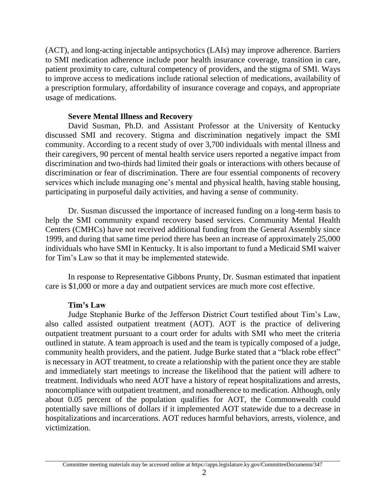(ACT), and long-acting injectable antipsychotics (LAIs) may improve adherence. Barriers to SMI medication adherence include poor health insurance coverage, transition in care, patient proximity to care, cultural competency of providers, and the stigma of SMI. Ways to improve access to medications include rational selection of medications, availability of a prescription formulary, affordability of insurance coverage and copays, and appropriate usage of medications.

### **Severe Mental Illness and Recovery**

David Susman, Ph.D. and Assistant Professor at the University of Kentucky discussed SMI and recovery. Stigma and discrimination negatively impact the SMI community. According to a recent study of over 3,700 individuals with mental illness and their caregivers, 90 percent of mental health service users reported a negative impact from discrimination and two-thirds had limited their goals or interactions with others because of discrimination or fear of discrimination. There are four essential components of recovery services which include managing one's mental and physical health, having stable housing, participating in purposeful daily activities, and having a sense of community.

Dr. Susman discussed the importance of increased funding on a long-term basis to help the SMI community expand recovery based services. Community Mental Health Centers (CMHCs) have not received additional funding from the General Assembly since 1999, and during that same time period there has been an increase of approximately 25,000 individuals who have SMI in Kentucky. It is also important to fund a Medicaid SMI waiver for Tim's Law so that it may be implemented statewide.

In response to Representative Gibbons Prunty, Dr. Susman estimated that inpatient care is \$1,000 or more a day and outpatient services are much more cost effective.

# **Tim's Law**

Judge Stephanie Burke of the Jefferson District Court testified about Tim's Law, also called assisted outpatient treatment (AOT). AOT is the practice of delivering outpatient treatment pursuant to a court order for adults with SMI who meet the criteria outlined in statute. A team approach is used and the team is typically composed of a judge, community health providers, and the patient. Judge Burke stated that a "black robe effect" is necessary in AOT treatment, to create a relationship with the patient once they are stable and immediately start meetings to increase the likelihood that the patient will adhere to treatment. Individuals who need AOT have a history of repeat hospitalizations and arrests, noncompliance with outpatient treatment, and nonadherence to medication. Although, only about 0.05 percent of the population qualifies for AOT, the Commonwealth could potentially save millions of dollars if it implemented AOT statewide due to a decrease in hospitalizations and incarcerations. AOT reduces harmful behaviors, arrests, violence, and victimization.

Committee meeting materials may be accessed online at https://apps.legislature.ky.gov/CommitteeDocuments/347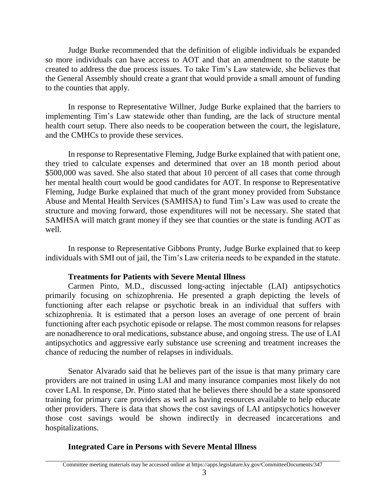Judge Burke recommended that the definition of eligible individuals be expanded so more individuals can have access to AOT and that an amendment to the statute be created to address the due process issues. To take Tim's Law statewide, she believes that the General Assembly should create a grant that would provide a small amount of funding to the counties that apply.

In response to Representative Willner, Judge Burke explained that the barriers to implementing Tim's Law statewide other than funding, are the lack of structure mental health court setup. There also needs to be cooperation between the court, the legislature, and the CMHCs to provide these services.

In response to Representative Fleming, Judge Burke explained that with patient one, they tried to calculate expenses and determined that over an 18 month period about \$500,000 was saved. She also stated that about 10 percent of all cases that come through her mental health court would be good candidates for AOT. In response to Representative Fleming, Judge Burke explained that much of the grant money provided from Substance Abuse and Mental Health Services (SAMHSA) to fund Tim's Law was used to create the structure and moving forward, those expenditures will not be necessary. She stated that SAMHSA will match grant money if they see that counties or the state is funding AOT as well.

In response to Representative Gibbons Prunty, Judge Burke explained that to keep individuals with SMI out of jail, the Tim's Law criteria needs to be expanded in the statute.

### **Treatments for Patients with Severe Mental Illness**

Carmen Pinto, M.D., discussed long-acting injectable (LAI) antipsychotics primarily focusing on schizophrenia. He presented a graph depicting the levels of functioning after each relapse or psychotic break in an individual that suffers with schizophrenia. It is estimated that a person loses an average of one percent of brain functioning after each psychotic episode or relapse. The most common reasons for relapses are nonadherence to oral medications, substance abuse, and ongoing stress. The use of LAI antipsychotics and aggressive early substance use screening and treatment increases the chance of reducing the number of relapses in individuals.

Senator Alvarado said that he believes part of the issue is that many primary care providers are not trained in using LAI and many insurance companies most likely do not cover LAI. In response, Dr. Pinto stated that he believes there should be a state sponsored training for primary care providers as well as having resources available to help educate other providers. There is data that shows the cost savings of LAI antipsychotics however those cost savings would be shown indirectly in decreased incarcerations and hospitalizations.

# **Integrated Care in Persons with Severe Mental Illness**